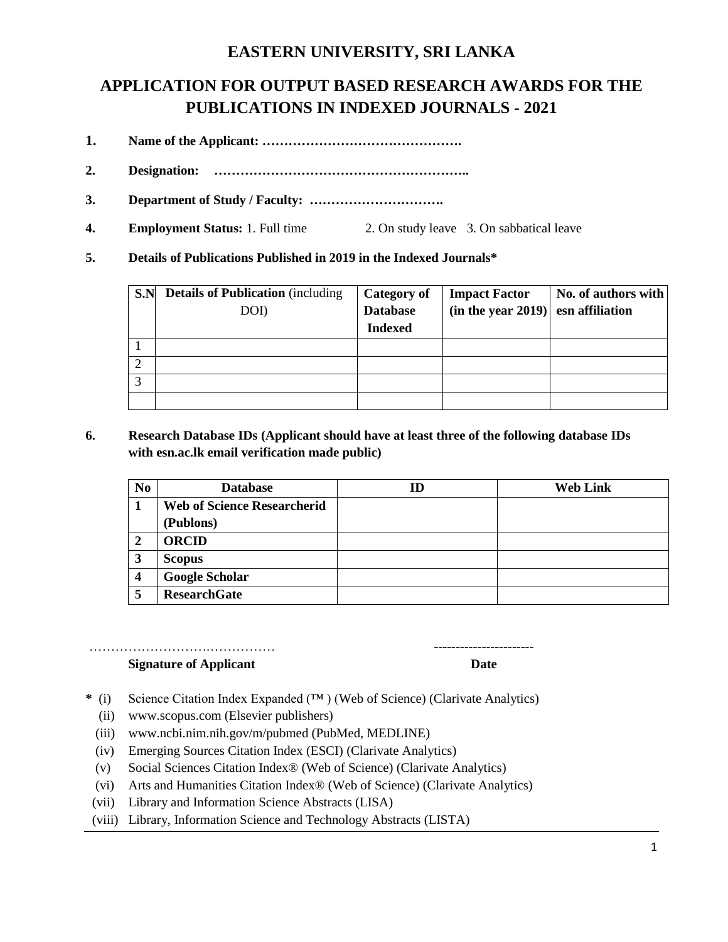## **EASTERN UNIVERSITY, SRI LANKA**

# **APPLICATION FOR OUTPUT BASED RESEARCH AWARDS FOR THE PUBLICATIONS IN INDEXED JOURNALS - 2021**

- **1. Name of the Applicant: ……………………………………….**
- **2. Designation: …………………………………………………..**
- **3. Department of Study / Faculty: ………………………….**
- **4. Employment Status:** 1. Full time 2. On study leave 3. On sabbatical leave
- **5. Details of Publications Published in 2019 in the Indexed Journals\***

| S.N       | <b>Details of Publication</b> (including | <b>Category of</b> | <b>Impact Factor</b> | No. of authors with |
|-----------|------------------------------------------|--------------------|----------------------|---------------------|
|           | DOI)                                     | <b>Database</b>    | (in the year 2019)   | esn affiliation     |
|           |                                          | <b>Indexed</b>     |                      |                     |
|           |                                          |                    |                      |                     |
| $\bigcap$ |                                          |                    |                      |                     |
| 3         |                                          |                    |                      |                     |
|           |                                          |                    |                      |                     |

**6. Research Database IDs (Applicant should have at least three of the following database IDs with esn.ac.lk email verification made public)**

| N <sub>0</sub> | <b>Database</b>                    | ID | <b>Web Link</b> |
|----------------|------------------------------------|----|-----------------|
|                | <b>Web of Science Researcherid</b> |    |                 |
|                | (Publons)                          |    |                 |
| 2              | <b>ORCID</b>                       |    |                 |
| 3              | <b>Scopus</b>                      |    |                 |
| 4              | <b>Google Scholar</b>              |    |                 |
| 5              | <b>ResearchGate</b>                |    |                 |

## ……………………………………………

#### **Signature of Applicant Date**

- **\*** (i) Science Citation Index Expanded (™ ) (Web of Science) (Clarivate Analytics)
	- (ii) www.scopus.com (Elsevier publishers)
	- (iii) www.ncbi.nim.nih.gov/m/pubmed (PubMed, MEDLINE)
	- (iv) Emerging Sources Citation Index (ESCI) (Clarivate Analytics)
	- (v) Social Sciences Citation Index® (Web of Science) (Clarivate Analytics)
	- (vi) Arts and Humanities Citation Index® (Web of Science) (Clarivate Analytics)
- (vii) Library and Information Science Abstracts (LISA)
- (viii) Library, Information Science and Technology Abstracts (LISTA)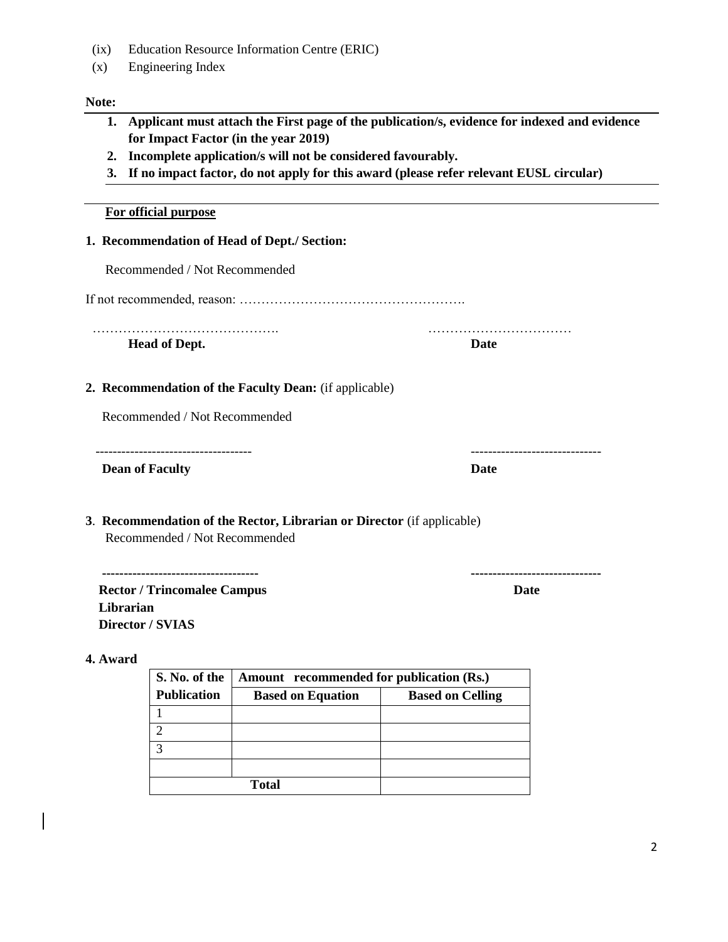- (ix) Education Resource Information Centre (ERIC)
- (x) Engineering Index

#### **Note:**

- **1. Applicant must attach the First page of the publication/s, evidence for indexed and evidence for Impact Factor (in the year 2019)**
- **2. Incomplete application/s will not be considered favourably.**
- **3. If no impact factor, do not apply for this award (please refer relevant EUSL circular)**

#### **For official purpose**

#### **1. Recommendation of Head of Dept./ Section:**

Recommended / Not Recommended

If not recommended, reason: …………………………………………….

**Head of Dept. Date**

……………………………………. ……………………………

**2. Recommendation of the Faculty Dean:** (if applicable)

Recommended / Not Recommended

------------------------------------ ------------------------------

**Dean of Faculty** Date **Date** 

### **3**. **Recommendation of the Rector, Librarian or Director** (if applicable) Recommended / Not Recommended

 **------------------------------------ ------------------------------ Rector / Trincomalee Campus Date Librarian Director / SVIAS**

### **4. Award**

| S. No. of the      | Amount recommended for publication (Rs.) |                         |  |  |
|--------------------|------------------------------------------|-------------------------|--|--|
| <b>Publication</b> | <b>Based on Equation</b>                 | <b>Based on Celling</b> |  |  |
|                    |                                          |                         |  |  |
|                    |                                          |                         |  |  |
|                    |                                          |                         |  |  |
|                    |                                          |                         |  |  |
|                    | Total                                    |                         |  |  |